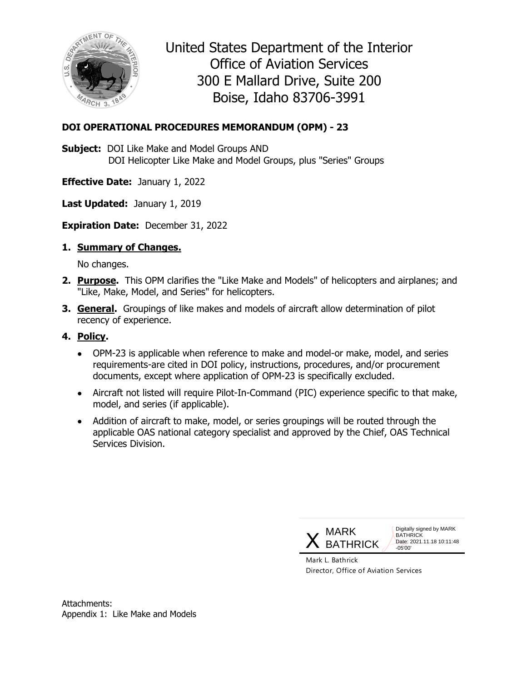

United States Department of the Interior Office of Aviation Services 300 E Mallard Drive, Suite 200 Boise, Idaho 83706-3991

# **DOI OPERATIONAL PROCEDURES MEMORANDUM (OPM) - 23**

**Subject:** DOI Like Make and Model Groups AND DOI Helicopter Like Make and Model Groups, plus "Series" Groups

**Effective Date:** January 1, 2022

**Last Updated:** January 1, 2019

**Expiration Date:** December 31, 2022

## **1. Summary of Changes.**

No changes.

- **2. Purpose.** This OPM clarifies the "Like Make and Models" of helicopters and airplanes; and "Like, Make, Model, and Series" for helicopters.
- **3. General.** Groupings of like makes and models of aircraft allow determination of pilot recency of experience.

## **4. Policy.**

- OPM-23 is applicable when reference to make and model-or make, model, and series requirements-are cited in DOI policy, instructions, procedures, and/or procurement documents, except where application of OPM-23 is specifically excluded.
- Aircraft not listed will require Pilot-In-Command (PIC) experience specific to that make, model, and series (if applicable).
- Addition of aircraft to make, model, or series groupings will be routed through the applicable OAS national category specialist and approved by the Chief, OAS Technical Services Division.



Digitally signed by MARK **BATHRICK** Date: 2021.11.18 10:11:48 -05'00'

Mark L. Bathrick Director, Office of Aviation Services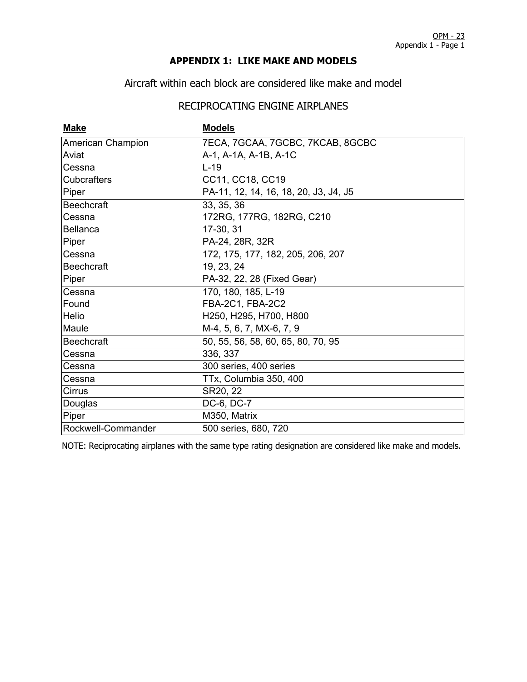### **APPENDIX 1: LIKE MAKE AND MODELS**

Aircraft within each block are considered like make and model

# RECIPROCATING ENGINE AIRPLANES

| <b>Make</b>        | <b>Models</b>                         |  |
|--------------------|---------------------------------------|--|
| American Champion  | 7ECA, 7GCAA, 7GCBC, 7KCAB, 8GCBC      |  |
| Aviat              | A-1, A-1A, A-1B, A-1C                 |  |
| Cessna             | $L-19$                                |  |
| <b>Cubcrafters</b> | CC11, CC18, CC19                      |  |
| Piper              | PA-11, 12, 14, 16, 18, 20, J3, J4, J5 |  |
| <b>Beechcraft</b>  | 33, 35, 36                            |  |
| Cessna             | 172RG, 177RG, 182RG, C210             |  |
| <b>Bellanca</b>    | 17-30, 31                             |  |
| Piper              | PA-24, 28R, 32R                       |  |
| Cessna             | 172, 175, 177, 182, 205, 206, 207     |  |
| Beechcraft         | 19, 23, 24                            |  |
| Piper              | PA-32, 22, 28 (Fixed Gear)            |  |
| Cessna             | 170, 180, 185, L-19                   |  |
| <b>Found</b>       | FBA-2C1, FBA-2C2                      |  |
| <b>Helio</b>       | H250, H295, H700, H800                |  |
| Maule              | M-4, 5, 6, 7, MX-6, 7, 9              |  |
| Beechcraft         | 50, 55, 56, 58, 60, 65, 80, 70, 95    |  |
| Cessna             | 336, 337                              |  |
| Cessna             | 300 series, 400 series                |  |
| Cessna             | TTx, Columbia 350, 400                |  |
| Cirrus             | SR20, 22                              |  |
| Douglas            | DC-6, DC-7                            |  |
| Piper              | M350, Matrix                          |  |
| Rockwell-Commander | 500 series, 680, 720                  |  |

NOTE: Reciprocating airplanes with the same type rating designation are considered like make and models.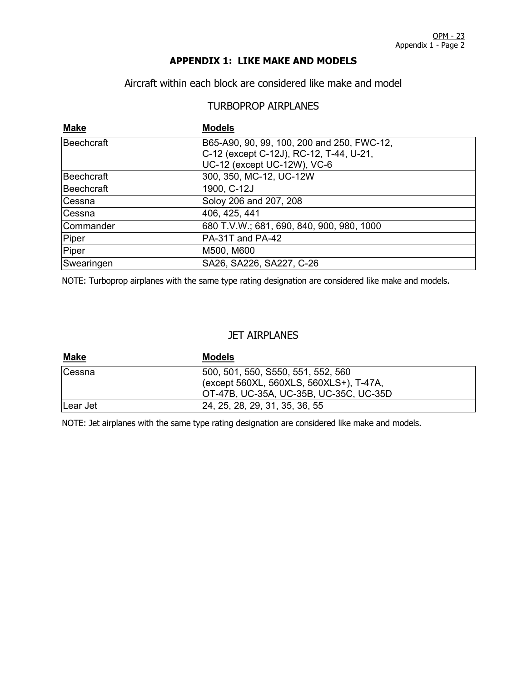### **APPENDIX 1: LIKE MAKE AND MODELS**

Aircraft within each block are considered like make and model

# TURBOPROP AIRPLANES

| <b>Make</b> | <b>Models</b>                              |
|-------------|--------------------------------------------|
| Beechcraft  | B65-A90, 90, 99, 100, 200 and 250, FWC-12, |
|             | C-12 (except C-12J), RC-12, T-44, U-21,    |
|             | UC-12 (except UC-12W), VC-6                |
| Beechcraft  | 300, 350, MC-12, UC-12W                    |
| Beechcraft  | 1900, C-12J                                |
| Cessna      | Soloy 206 and 207, 208                     |
| Cessna      | 406, 425, 441                              |
| Commander   | 680 T.V.W.; 681, 690, 840, 900, 980, 1000  |
| Piper       | PA-31T and PA-42                           |
| Piper       | M500, M600                                 |
| Swearingen  | SA26, SA226, SA227, C-26                   |

NOTE: Turboprop airplanes with the same type rating designation are considered like make and models.

#### JET AIRPLANES

| <u>Make</u> | <b>Models</b>                                                                 |  |
|-------------|-------------------------------------------------------------------------------|--|
| Cessna      | 500, 501, 550, S550, 551, 552, 560<br>(except 560XL, 560XLS, 560XLS+), T-47A, |  |
|             | OT-47B, UC-35A, UC-35B, UC-35C, UC-35D                                        |  |
| Lear Jet    | 24, 25, 28, 29, 31, 35, 36, 55                                                |  |

NOTE: Jet airplanes with the same type rating designation are considered like make and models.